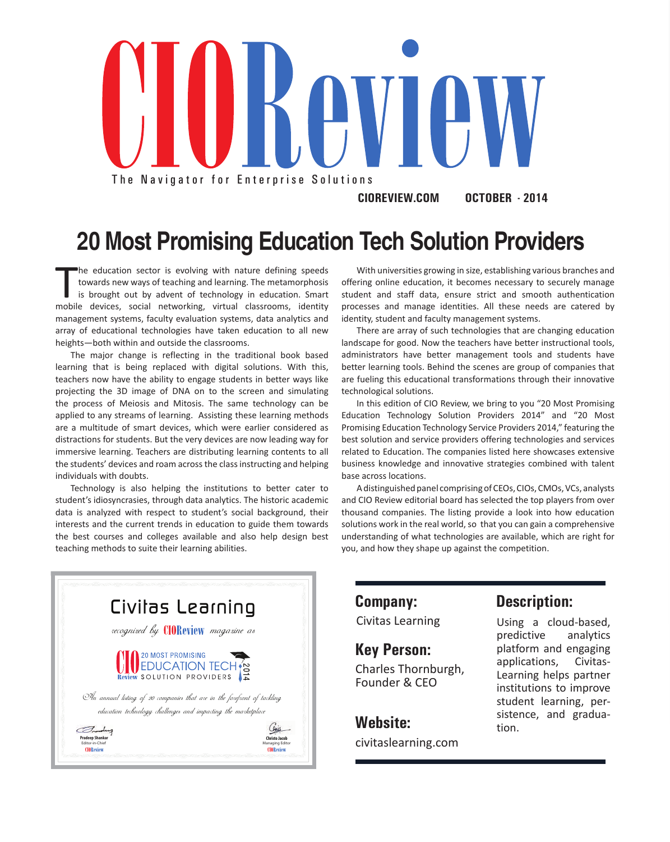

**CIOREVIEW.COM OCTOBER - 2014**

**20 Most Promising Education Tech Solution Providers**

The education sector is evolving with nature defining speeds<br>towards new ways of teaching and learning. The metamorphosis<br>is brought out by advent of technology in education. Smart<br>mobile devices, social networking, virtua he education sector is evolving with nature defining speeds towards new ways of teaching and learning. The metamorphosis is brought out by advent of technology in education. Smart management systems, faculty evaluation systems, data analytics and array of educational technologies have taken education to all new heights—both within and outside the classrooms.

The major change is reflecting in the traditional book based learning that is being replaced with digital solutions. With this, teachers now have the ability to engage students in better ways like projecting the 3D image of DNA on to the screen and simulating the process of Meiosis and Mitosis. The same technology can be applied to any streams of learning. Assisting these learning methods are a multitude of smart devices, which were earlier considered as distractions for students. But the very devices are now leading way for immersive learning. Teachers are distributing learning contents to all the students' devices and roam across the class instructing and helping individuals with doubts.

Technology is also helping the institutions to better cater to student's idiosyncrasies, through data analytics. The historic academic data is analyzed with respect to student's social background, their interests and the current trends in education to guide them towards the best courses and colleges available and also help design best teaching methods to suite their learning abilities.

With universities growing in size, establishing various branches and offering online education, it becomes necessary to securely manage student and staff data, ensure strict and smooth authentication processes and manage identities. All these needs are catered by identity, student and faculty management systems.

There are array of such technologies that are changing education landscape for good. Now the teachers have better instructional tools, administrators have better management tools and students have better learning tools. Behind the scenes are group of companies that are fueling this educational transformations through their innovative technological solutions.

In this edition of CIO Review, we bring to you "20 Most Promising Education Technology Solution Providers 2014" and "20 Most Promising Education Technology Service Providers 2014," featuring the best solution and service providers offering technologies and services related to Education. The companies listed here showcases extensive business knowledge and innovative strategies combined with talent base across locations.

A distinguished panel comprising of CEOs, CIOs, CMOs, VCs, analysts and CIO Review editorial board has selected the top players from over thousand companies. The listing provide a look into how education solutions work in the real world, so that you can gain a comprehensive understanding of what technologies are available, which are right for you, and how they shape up against the competition.



**Key Person:**

Charles Thornburgh, Founder & CEO

**Website:** civitaslearning.com

## **Company: Description:**

Civitas Learning Using a cloud-based, predictive analytics platform and engaging applications, Civitas-Learning helps partner institutions to improve student learning, persistence, and graduation.